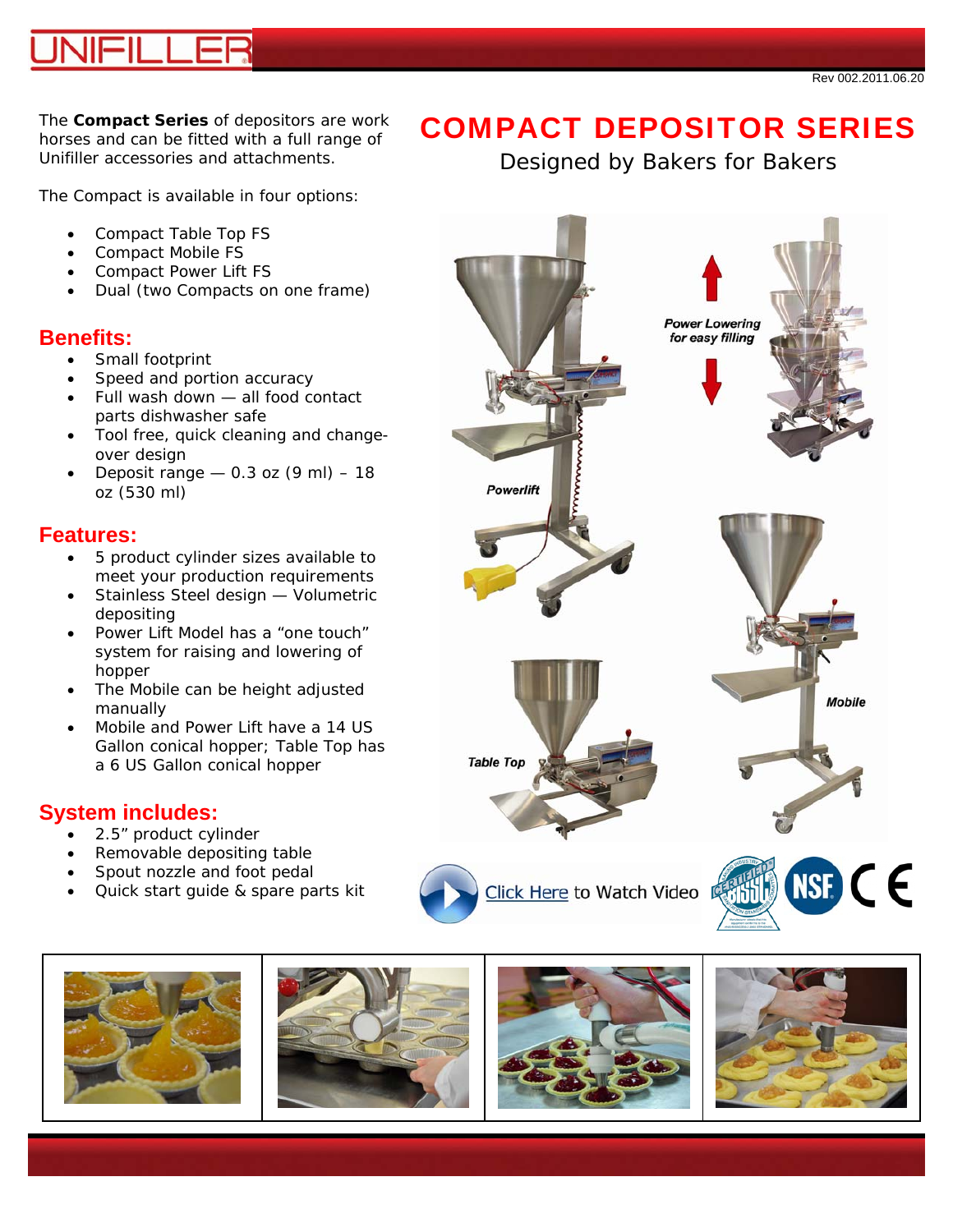

The **Compact Series** of depositors are work horses and can be fitted with a full range of Unifiller accessories and attachments.

The Compact is available in four options:

- Compact Table Top FS
- Compact Mobile FS
- Compact Power Lift FS
- Dual (two Compacts on one frame)

### **Benefits:**

- Small footprint
- Speed and portion accuracy
- Full wash down all food contact parts dishwasher safe
- Tool free, quick cleaning and changeover design
- Deposit range  $-$  0.3 oz (9 ml)  $-$  18 oz (530 ml)

### **Features:**

- 5 product cylinder sizes available to meet your production requirements
- Stainless Steel design Volumetric depositing
- Power Lift Model has a "one touch" system for raising and lowering of hopper
- The Mobile can be height adjusted manually
- Mobile and Power Lift have a 14 US Gallon conical hopper; Table Top has a 6 US Gallon conical hopper

# **System includes:**

- 2.5" product cylinder
- Removable depositing table
- Spout nozzle and foot pedal
- Quick start guide & spare parts kit









# COMPACT DEPOSITOR SERIES

Designed by Bakers for Bakers